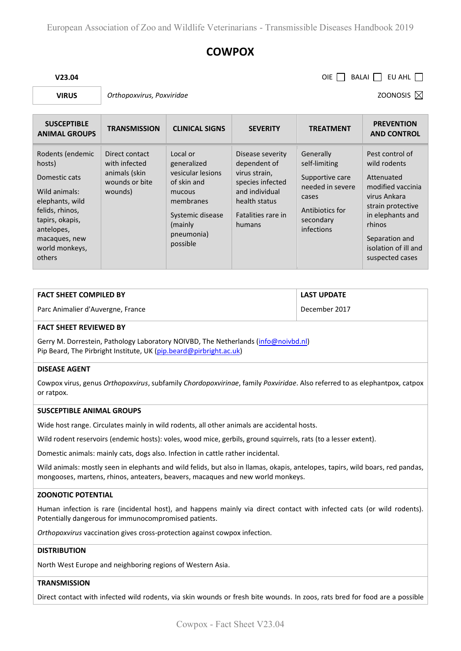# **COWPOX**

**V23.04** OIE BALAI EU AHL

**VIRUS** *Orthopoxvirus, Poxviridae* **COONOSIS ZOONOSIS** *Z*OONOSIS *Z* 

| <b>SUSCEPTIBLE</b><br><b>ANIMAL GROUPS</b>                                                                                                                                       | <b>TRANSMISSION</b>                                                           | <b>CLINICAL SIGNS</b>                                                                                                                        | <b>SEVERITY</b>                                                                                                                          | <b>TREATMENT</b>                                                                                                         | <b>PREVENTION</b><br><b>AND CONTROL</b>                                                                                                                                                            |
|----------------------------------------------------------------------------------------------------------------------------------------------------------------------------------|-------------------------------------------------------------------------------|----------------------------------------------------------------------------------------------------------------------------------------------|------------------------------------------------------------------------------------------------------------------------------------------|--------------------------------------------------------------------------------------------------------------------------|----------------------------------------------------------------------------------------------------------------------------------------------------------------------------------------------------|
| Rodents (endemic<br>hosts)<br>Domestic cats<br>Wild animals:<br>elephants, wild<br>felids, rhinos,<br>tapirs, okapis,<br>antelopes,<br>macaques, new<br>world monkeys,<br>others | Direct contact<br>with infected<br>animals (skin<br>wounds or bite<br>wounds) | Local or<br>generalized<br>vesicular lesions<br>of skin and<br>mucous<br>membranes<br>Systemic disease<br>(mainly)<br>pneumonia)<br>possible | Disease severity<br>dependent of<br>virus strain,<br>species infected<br>and individual<br>health status<br>Fatalities rare in<br>humans | Generally<br>self-limiting<br>Supportive care<br>needed in severe<br>cases<br>Antibiotics for<br>secondary<br>infections | Pest control of<br>wild rodents<br>Attenuated<br>modified vaccinia<br>virus Ankara<br>strain protective<br>in elephants and<br>rhinos<br>Separation and<br>isolation of ill and<br>suspected cases |

| <b>FACT SHEET COMPILED BY</b>     | <b>LAST UPDATE</b> |
|-----------------------------------|--------------------|
| Parc Animalier d'Auvergne, France | December 2017      |

#### **FACT SHEET REVIEWED BY**

Gerry M. Dorrestein, Pathology Laboratory NOIVBD, The Netherlands (info@noivbd.nl) Pip Beard, The Pirbright Institute, UK (pip.beard@pirbright.ac.uk)

#### **DISEASE AGENT**

Cowpox virus, genus *Orthopoxvirus*, subfamily *Chordopoxvirinae*, family *Poxviridae*. Also referred to as elephantpox, catpox or ratpox.

#### **SUSCEPTIBLE ANIMAL GROUPS**

Wide host range. Circulates mainly in wild rodents, all other animals are accidental hosts.

Wild rodent reservoirs (endemic hosts): voles, wood mice, gerbils, ground squirrels, rats (to a lesser extent).

Domestic animals: mainly cats, dogs also. Infection in cattle rather incidental.

Wild animals: mostly seen in elephants and wild felids, but also in llamas, okapis, antelopes, tapirs, wild boars, red pandas, mongooses, martens, rhinos, anteaters, beavers, macaques and new world monkeys.

## **ZOONOTIC POTENTIAL**

Human infection is rare (incidental host), and happens mainly via direct contact with infected cats (or wild rodents). Potentially dangerous for immunocompromised patients.

*Orthopoxvirus* vaccination gives cross-protection against cowpox infection.

#### **DISTRIBUTION**

North West Europe and neighboring regions of Western Asia.

## **TRANSMISSION**

Direct contact with infected wild rodents, via skin wounds or fresh bite wounds. In zoos, rats bred for food are a possible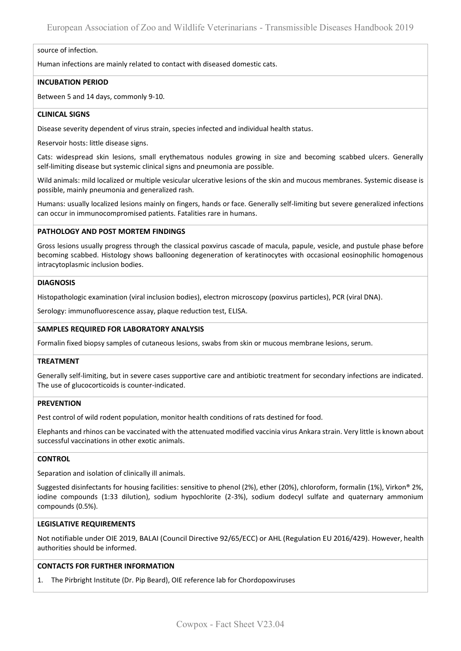#### source of infection.

Human infections are mainly related to contact with diseased domestic cats.

## **INCUBATION PERIOD**

Between 5 and 14 days, commonly 9-10.

# **CLINICAL SIGNS**

Disease severity dependent of virus strain, species infected and individual health status.

Reservoir hosts: little disease signs.

Cats: widespread skin lesions, small erythematous nodules growing in size and becoming scabbed ulcers. Generally self-limiting disease but systemic clinical signs and pneumonia are possible.

Wild animals: mild localized or multiple vesicular ulcerative lesions of the skin and mucous membranes. Systemic disease is possible, mainly pneumonia and generalized rash.

Humans: usually localized lesions mainly on fingers, hands or face. Generally self-limiting but severe generalized infections can occur in immunocompromised patients. Fatalities rare in humans.

## **PATHOLOGY AND POST MORTEM FINDINGS**

Gross lesions usually progress through the classical poxvirus cascade of macula, papule, vesicle, and pustule phase before becoming scabbed. Histology shows ballooning degeneration of keratinocytes with occasional eosinophilic homogenous intracytoplasmic inclusion bodies.

# **DIAGNOSIS**

Histopathologic examination (viral inclusion bodies), electron microscopy (poxvirus particles), PCR (viral DNA).

Serology: immunofluorescence assay, plaque reduction test, ELISA.

# **SAMPLES REQUIRED FOR LABORATORY ANALYSIS**

Formalin fixed biopsy samples of cutaneous lesions, swabs from skin or mucous membrane lesions, serum.

## **TREATMENT**

Generally self-limiting, but in severe cases supportive care and antibiotic treatment for secondary infections are indicated. The use of glucocorticoids is counter-indicated.

## **PREVENTION**

Pest control of wild rodent population, monitor health conditions of rats destined for food.

Elephants and rhinos can be vaccinated with the attenuated modified vaccinia virus Ankara strain. Very little is known about successful vaccinations in other exotic animals.

# **CONTROL**

Separation and isolation of clinically ill animals.

Suggested disinfectants for housing facilities: sensitive to phenol (2%), ether (20%), chloroform, formalin (1%), Virkon® 2%, iodine compounds (1:33 dilution), sodium hypochlorite (2-3%), sodium dodecyl sulfate and quaternary ammonium compounds (0.5%).

## **LEGISLATIVE REQUIREMENTS**

Not notifiable under OIE 2019, BALAI (Council Directive 92/65/ECC) or AHL (Regulation EU 2016/429). However, health authorities should be informed.

# **CONTACTS FOR FURTHER INFORMATION**

1. The Pirbright Institute (Dr. Pip Beard), OIE reference lab for Chordopoxviruses